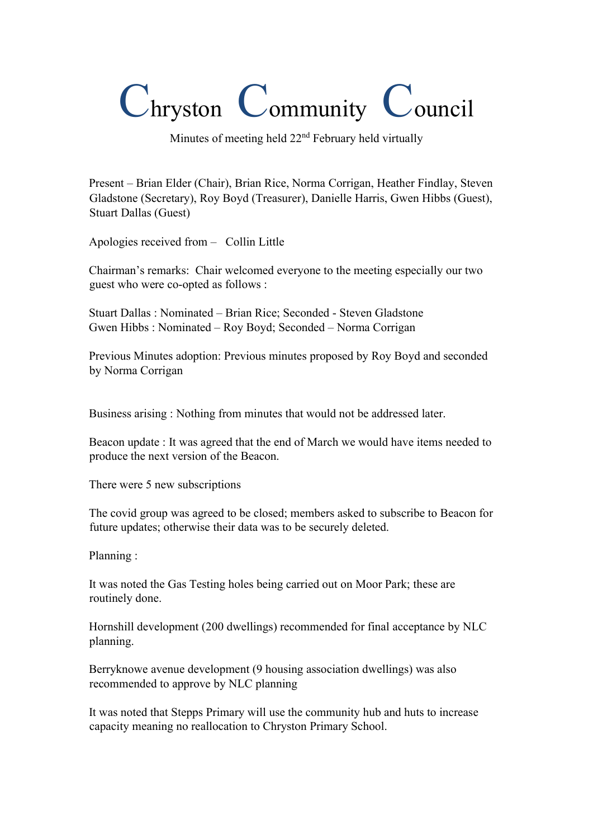## Chryston Community Council

Minutes of meeting held  $22<sup>nd</sup>$  February held virtually

Present – Brian Elder (Chair), Brian Rice, Norma Corrigan, Heather Findlay, Steven Gladstone (Secretary), Roy Boyd (Treasurer), Danielle Harris, Gwen Hibbs (Guest), Stuart Dallas (Guest)

Apologies received from – Collin Little

Chairman's remarks: Chair welcomed everyone to the meeting especially our two guest who were co-opted as follows :

Stuart Dallas : Nominated – Brian Rice; Seconded - Steven Gladstone Gwen Hibbs : Nominated – Roy Boyd; Seconded – Norma Corrigan

Previous Minutes adoption: Previous minutes proposed by Roy Boyd and seconded by Norma Corrigan

Business arising : Nothing from minutes that would not be addressed later.

Beacon update : It was agreed that the end of March we would have items needed to produce the next version of the Beacon.

There were 5 new subscriptions

The covid group was agreed to be closed; members asked to subscribe to Beacon for future updates; otherwise their data was to be securely deleted.

Planning :

It was noted the Gas Testing holes being carried out on Moor Park; these are routinely done.

Hornshill development (200 dwellings) recommended for final acceptance by NLC planning.

Berryknowe avenue development (9 housing association dwellings) was also recommended to approve by NLC planning

It was noted that Stepps Primary will use the community hub and huts to increase capacity meaning no reallocation to Chryston Primary School.